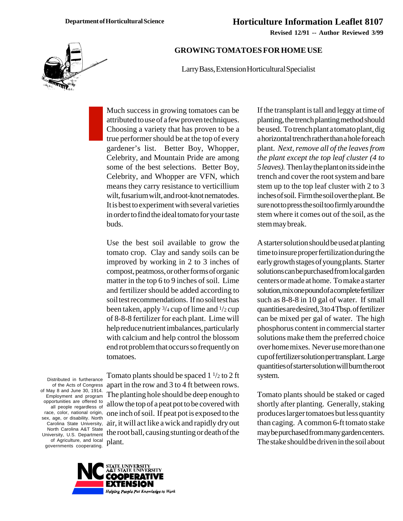**Revised 12/91 -- Author Reviewed 3/99**



## **GROWING TOMATOES FOR HOME USE**

Larry Bass, Extension Horticultural Specialist

Much success in growing tomatoes can be attributed to use of a few proven techniques. Choosing a variety that has proven to be a true performer should be at the top of every gardener's list. Better Boy, Whopper, Celebrity, and Mountain Pride are among some of the best selections. Better Boy, Celebrity, and Whopper are VFN, which means they carry resistance to verticillium wilt, fusarium wilt, and root-knot nematodes. It is best to experiment with several varieties in order to find the ideal tomato for your taste buds.

Use the best soil available to grow the tomato crop. Clay and sandy soils can be improved by working in 2 to 3 inches of compost, peatmoss, or other forms of organic matter in the top 6 to 9 inches of soil. Lime and fertilizer should be added according to soil test recommendations. If no soil test has been taken, apply  $\frac{3}{4}$  cup of lime and  $\frac{1}{2}$  cup of 8-8-8 fertilizer for each plant. Lime will help reduce nutrient imbalances, particularly with calcium and help control the blossom end rot problem that occurs so frequently on tomatoes.

Distributed in furtherance of the Acts of Congress of May 8 and June 30, 1914. Employment and program opportunities are offered to all people regardless of race, color, national origin, sex, age, or disability. North Carolina State University, North Carolina A&T State University, U.S. Department of Agriculture, and local governments cooperating.

Tomato plants should be spaced  $1\frac{1}{2}$  to 2 ft apart in the row and 3 to 4 ft between rows. The planting hole should be deep enough to allow the top of a peat pot to be covered with one inch of soil. If peat pot is exposed to the air, it will act like a wick and rapidly dry out the root ball, causing stunting or death of the plant.



If the transplant is tall and leggy at time of planting, the trench planting method should be used. To trench plant a tomato plant, dig a horizontal trench rather than a hole for each plant. *Next, remove all of the leaves from the plant except the top leaf cluster (4 to 5 leaves).* Then lay the plant on its side in the trench and cover the root system and bare stem up to the top leaf cluster with 2 to 3 inches of soil. Firm the soil over the plant. Be sure not to press the soil too firmly around the stem where it comes out of the soil, as the stem may break.

A starter solution should be used at planting time to insure proper fertilization during the early growth stages of young plants. Starter solutions can be purchased from local garden centers or made at home. To make a starter solution, mix one pound of a complete fertilizer such as 8-8-8 in 10 gal of water. If small quantities are desired, 3 to 4 Tbsp. of fertilizer can be mixed per gal of water. The high phosphorus content in commercial starter solutions make them the preferred choice over home mixes. Never use more than one cup of fertilizer solution per transplant. Large quantities of starter solution will burn the root system.

Tomato plants should be staked or caged shortly after planting. Generally, staking produces larger tomatoes but less quantity than caging. A common 6-ft tomato stake may be purchased from many garden centers. The stake should be driven in the soil about